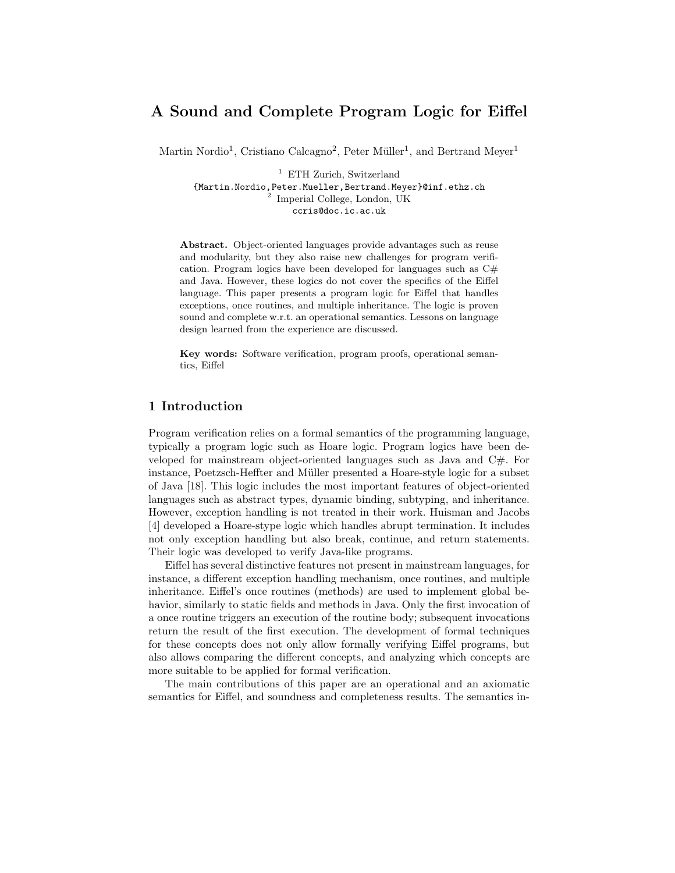# A Sound and Complete Program Logic for Eiffel

Martin Nordio<sup>1</sup>, Cristiano Calcagno<sup>2</sup>, Peter Müller<sup>1</sup>, and Bertrand Meyer<sup>1</sup>

<sup>1</sup> ETH Zurich, Switzerland {Martin.Nordio,Peter.Mueller,Bertrand.Meyer}@inf.ethz.ch 2 Imperial College, London, UK ccris@doc.ic.ac.uk

Abstract. Object-oriented languages provide advantages such as reuse and modularity, but they also raise new challenges for program verification. Program logics have been developed for languages such as C# and Java. However, these logics do not cover the specifics of the Eiffel language. This paper presents a program logic for Eiffel that handles exceptions, once routines, and multiple inheritance. The logic is proven sound and complete w.r.t. an operational semantics. Lessons on language design learned from the experience are discussed.

Key words: Software verification, program proofs, operational semantics, Eiffel

## 1 Introduction

Program verification relies on a formal semantics of the programming language, typically a program logic such as Hoare logic. Program logics have been developed for mainstream object-oriented languages such as Java and C#. For instance, Poetzsch-Heffter and Müller presented a Hoare-style logic for a subset of Java [18]. This logic includes the most important features of object-oriented languages such as abstract types, dynamic binding, subtyping, and inheritance. However, exception handling is not treated in their work. Huisman and Jacobs [4] developed a Hoare-stype logic which handles abrupt termination. It includes not only exception handling but also break, continue, and return statements. Their logic was developed to verify Java-like programs.

Eiffel has several distinctive features not present in mainstream languages, for instance, a different exception handling mechanism, once routines, and multiple inheritance. Eiffel's once routines (methods) are used to implement global behavior, similarly to static fields and methods in Java. Only the first invocation of a once routine triggers an execution of the routine body; subsequent invocations return the result of the first execution. The development of formal techniques for these concepts does not only allow formally verifying Eiffel programs, but also allows comparing the different concepts, and analyzing which concepts are more suitable to be applied for formal verification.

The main contributions of this paper are an operational and an axiomatic semantics for Eiffel, and soundness and completeness results. The semantics in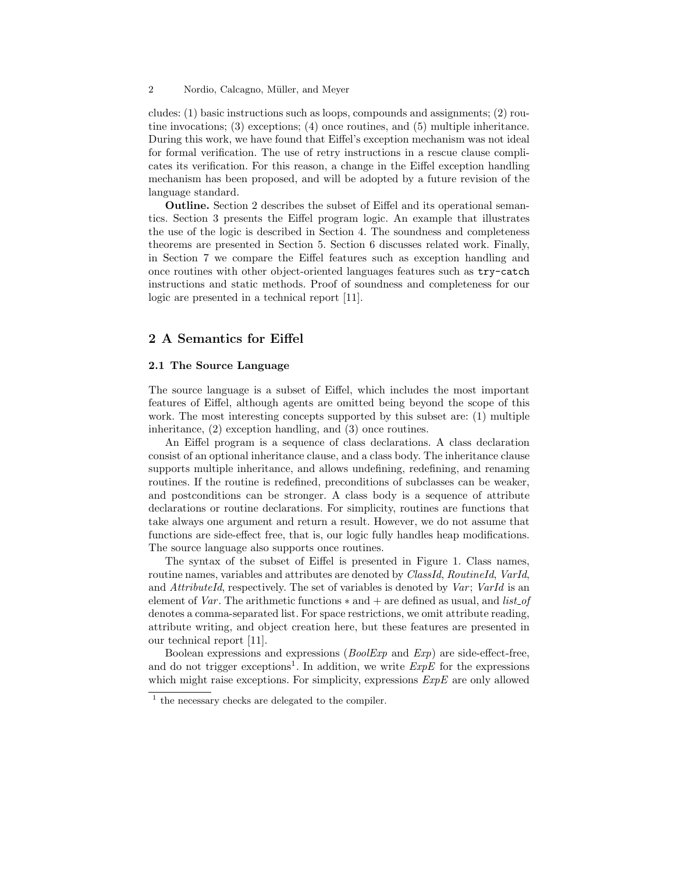cludes: (1) basic instructions such as loops, compounds and assignments; (2) routine invocations; (3) exceptions; (4) once routines, and (5) multiple inheritance. During this work, we have found that Eiffel's exception mechanism was not ideal for formal verification. The use of retry instructions in a rescue clause complicates its verification. For this reason, a change in the Eiffel exception handling mechanism has been proposed, and will be adopted by a future revision of the language standard.

Outline. Section 2 describes the subset of Eiffel and its operational semantics. Section 3 presents the Eiffel program logic. An example that illustrates the use of the logic is described in Section 4. The soundness and completeness theorems are presented in Section 5. Section 6 discusses related work. Finally, in Section 7 we compare the Eiffel features such as exception handling and once routines with other object-oriented languages features such as try-catch instructions and static methods. Proof of soundness and completeness for our logic are presented in a technical report [11].

## 2 A Semantics for Eiffel

#### 2.1 The Source Language

The source language is a subset of Eiffel, which includes the most important features of Eiffel, although agents are omitted being beyond the scope of this work. The most interesting concepts supported by this subset are: (1) multiple inheritance, (2) exception handling, and (3) once routines.

An Eiffel program is a sequence of class declarations. A class declaration consist of an optional inheritance clause, and a class body. The inheritance clause supports multiple inheritance, and allows undefining, redefining, and renaming routines. If the routine is redefined, preconditions of subclasses can be weaker, and postconditions can be stronger. A class body is a sequence of attribute declarations or routine declarations. For simplicity, routines are functions that take always one argument and return a result. However, we do not assume that functions are side-effect free, that is, our logic fully handles heap modifications. The source language also supports once routines.

The syntax of the subset of Eiffel is presented in Figure 1. Class names, routine names, variables and attributes are denoted by *ClassId*, *RoutineId*, *VarId*, and  $AttributeId$ , respectively. The set of variables is denoted by *Var*; *VarId* is an element of Var. The arithmetic functions  $*$  and  $+$  are defined as usual, and list\_of denotes a comma-separated list. For space restrictions, we omit attribute reading, attribute writing, and object creation here, but these features are presented in our technical report [11].

Boolean expressions and expressions (BoolExp and Exp) are side-effect-free, and do not trigger exceptions<sup>1</sup>. In addition, we write  $ExpE$  for the expressions which might raise exceptions. For simplicity, expressions  $ExpE$  are only allowed

<sup>2</sup> Nordio, Calcagno, Müller, and Meyer

<sup>&</sup>lt;sup>1</sup> the necessary checks are delegated to the compiler.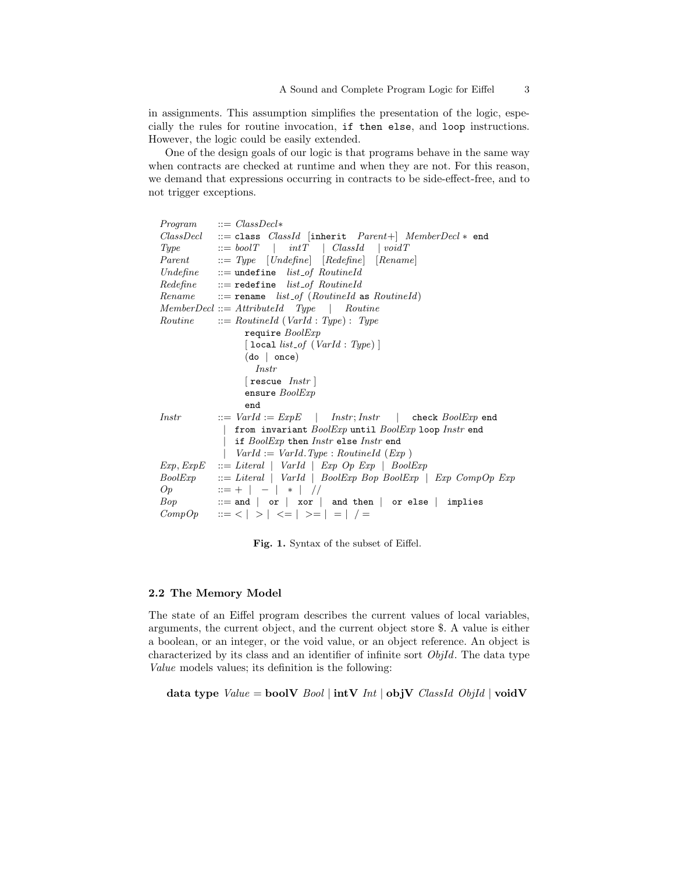in assignments. This assumption simplifies the presentation of the logic, especially the rules for routine invocation, if then else, and loop instructions. However, the logic could be easily extended.

One of the design goals of our logic is that programs behave in the same way when contracts are checked at runtime and when they are not. For this reason, we demand that expressions occurring in contracts to be side-effect-free, and to not trigger exceptions.

```
Program ::= ClassDecl∗
ClassDecl := class ClassId [inherit Parent+] MemberDecl* end
Type \qquad ::= boolT \mid initT \mid ClassId \mid voidTParent ::= Type [Undefine] [Redefine] [Rename]
Underine ::= undefine list_of RoutineId
Redefine ::= \texttt{redefine} \text{ list_of Routineld}\mathit{Rename} ::= rename \mathit{list\_of} (\mathit{Routineld} as \mathit{Routineld})
MemberDecl ::= Attributeld Type | Routine
Routine ::= Routineld (VarId : Type) : Type
                 require BoolExp
                 [local list_of (VarId : Type)]
                 (do | once)
                   Instr
                 \lceil rescue Instr \rceilensure BoolExp
                 end
Instr ::= VarId := ExpE | Instr; Instr | check BoolExp end
             | from invariant BoolExp until BoolExp loop Instr end
               if BoolExp then Instr else Instr end
               VarId := VarId. Type : RoutineId (Exp)
Exp, ExpE ::= Literal | VarId | Exp Op Exp | BoolExp
BoolExp ::= Literal | VarId | BoolExp Bop BoolExp | Exp CompOp Exp
Op ::= + | - | * | //
Bop ::= and | or | xor | and then | or else | implies
CompOp ::= < | > | <= | >= | = | / =
```
Fig. 1. Syntax of the subset of Eiffel.

#### 2.2 The Memory Model

The state of an Eiffel program describes the current values of local variables, arguments, the current object, and the current object store \$. A value is either a boolean, or an integer, or the void value, or an object reference. An object is characterized by its class and an identifier of infinite sort  $ObjId$ . The data type Value models values; its definition is the following:

data type  $Value = \text{boolV } Bool \mid \text{intV } Int \mid \text{objV } ClassId \text{ } ObjId \mid \text{voidV}$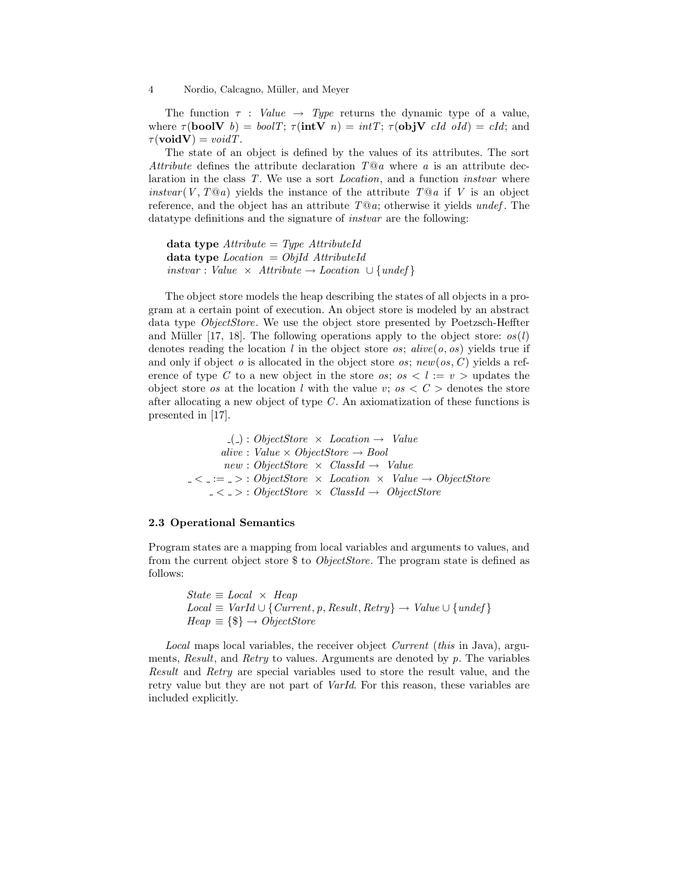The function  $\tau$ : Value  $\rightarrow$  Type returns the dynamic type of a value, where  $\tau ($ boolV  $b) = boolT$ ;  $\tau ($ **intV**  $n) = intT$ ;  $\tau ($ **objV**  $cId$   $old) = cId$ ; and  $\tau(\text{voidV}) = \text{void}T$ .

The state of an object is defined by the values of its attributes. The sort Attribute defines the attribute declaration  $T@a$  where a is an attribute declaration in the class T. We use a sort Location, and a function instvar where instvar  $(V, T@a)$  yields the instance of the attribute  $T@a$  if V is an object reference, and the object has an attribute  $T@a$ ; otherwise it yields undef. The datatype definitions and the signature of *instvar* are the following:

data type  $Attribute = Type$   $AttributeId$ data type  $Location = ObjId$  AttributeId instvar : Value × Attribute → Location  $\cup$  {undef}

The object store models the heap describing the states of all objects in a program at a certain point of execution. An object store is modeled by an abstract data type ObjectStore. We use the object store presented by Poetzsch-Heffter and Müller [17, 18]. The following operations apply to the object store:  $os(l)$ denotes reading the location l in the object store os; alive (o, os) yields true if and only if object  $o$  is allocated in the object store  $os$ ;  $new(os, C)$  yields a reference of type C to a new object in the store *os*;  $os < l := v$  > updates the object store *os* at the location l with the value v;  $os < C$  > denotes the store after allocating a new object of type C . An axiomatization of these functions is presented in [17].

 $(-) : ObjectStore \times Location \rightarrow Value$ alive : Value  $\times$  ObjectStore  $\rightarrow$  Bool  $new: ObjectStore \times ClassId \rightarrow Value$ < := > : ObjectStore × Location × Value → ObjectStore  $-$  <  $\geq$  : ObjectStore  $\times$  ClassId  $\rightarrow$  ObjectStore

#### 2.3 Operational Semantics

Program states are a mapping from local variables and arguments to values, and from the current object store \$ to ObjectStore. The program state is defined as follows:

> $State \equiv Local \timesHeap$  $Local \equiv \text{VarId} \cup \{Current, p, Result, Retry\} \rightarrow Value \cup \{under\}$  $Heap \equiv \{\$\} \rightarrow ObjectStore$

Local maps local variables, the receiver object Current (this in Java), arguments, Result, and Retry to values. Arguments are denoted by  $p$ . The variables Result and Retry are special variables used to store the result value, and the retry value but they are not part of VarId. For this reason, these variables are included explicitly.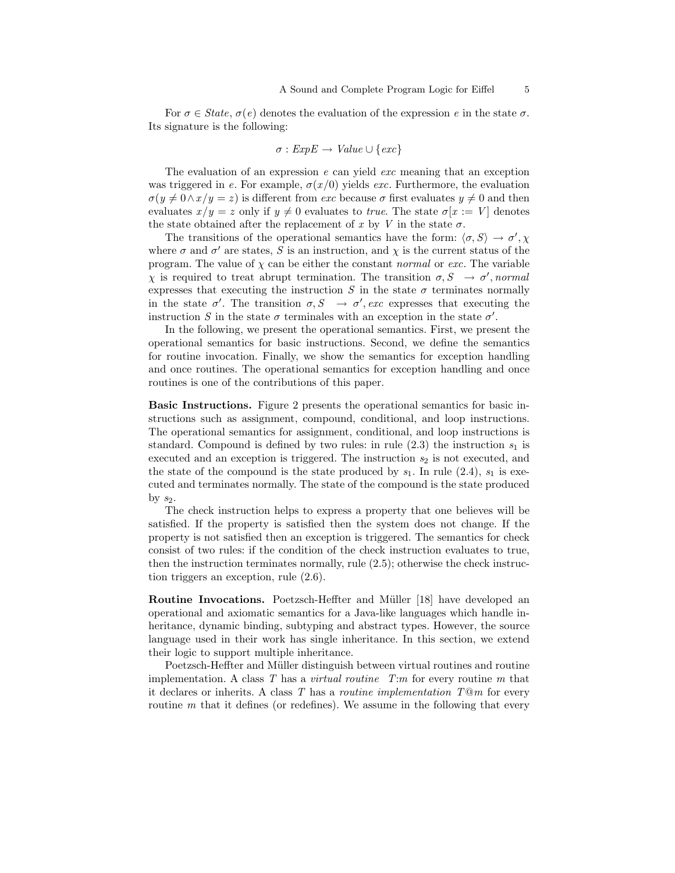For  $\sigma \in State$ ,  $\sigma(e)$  denotes the evaluation of the expression e in the state  $\sigma$ . Its signature is the following:

$$
\sigma: ExpE \to Value \cup \{exc\}
$$

The evaluation of an expression  $e$  can yield  $exc$  meaning that an exception was triggered in e. For example,  $\sigma(x/0)$  yields exc. Furthermore, the evaluation  $\sigma(y \neq 0 \wedge x/y = z)$  is different from exc because  $\sigma$  first evaluates  $y \neq 0$  and then evaluates  $x/y = z$  only if  $y \neq 0$  evaluates to true. The state  $\sigma[x := V]$  denotes the state obtained after the replacement of x by V in the state  $\sigma$ .

The transitions of the operational semantics have the form:  $\langle \sigma, S \rangle \to \sigma', \chi$ where  $\sigma$  and  $\sigma'$  are states, S is an instruction, and  $\chi$  is the current status of the program. The value of  $\chi$  can be either the constant normal or exc. The variable  $\chi$  is required to treat abrupt termination. The transition  $\sigma, S \rightarrow \sigma', normal$ expresses that executing the instruction S in the state  $\sigma$  terminates normally in the state  $\sigma'$ . The transition  $\sigma, S \rightarrow \sigma', exc$  expresses that executing the instruction S in the state  $\sigma$  terminales with an exception in the state  $\sigma'$ .

In the following, we present the operational semantics. First, we present the operational semantics for basic instructions. Second, we define the semantics for routine invocation. Finally, we show the semantics for exception handling and once routines. The operational semantics for exception handling and once routines is one of the contributions of this paper.

Basic Instructions. Figure 2 presents the operational semantics for basic instructions such as assignment, compound, conditional, and loop instructions. The operational semantics for assignment, conditional, and loop instructions is standard. Compound is defined by two rules: in rule  $(2.3)$  the instruction  $s<sub>1</sub>$  is executed and an exception is triggered. The instruction  $s_2$  is not executed, and the state of the compound is the state produced by  $s_1$ . In rule (2.4),  $s_1$  is executed and terminates normally. The state of the compound is the state produced by  $s_2$ .

The check instruction helps to express a property that one believes will be satisfied. If the property is satisfied then the system does not change. If the property is not satisfied then an exception is triggered. The semantics for check consist of two rules: if the condition of the check instruction evaluates to true, then the instruction terminates normally, rule (2.5); otherwise the check instruction triggers an exception, rule (2.6).

Routine Invocations. Poetzsch-Heffter and Müller [18] have developed an operational and axiomatic semantics for a Java-like languages which handle inheritance, dynamic binding, subtyping and abstract types. However, the source language used in their work has single inheritance. In this section, we extend their logic to support multiple inheritance.

Poetzsch-Heffter and Müller distinguish between virtual routines and routine implementation. A class  $T$  has a *virtual routine*  $T:m$  for every routine  $m$  that it declares or inherits. A class  $T$  has a *routine implementation*  $T@m$  for every routine  $m$  that it defines (or redefines). We assume in the following that every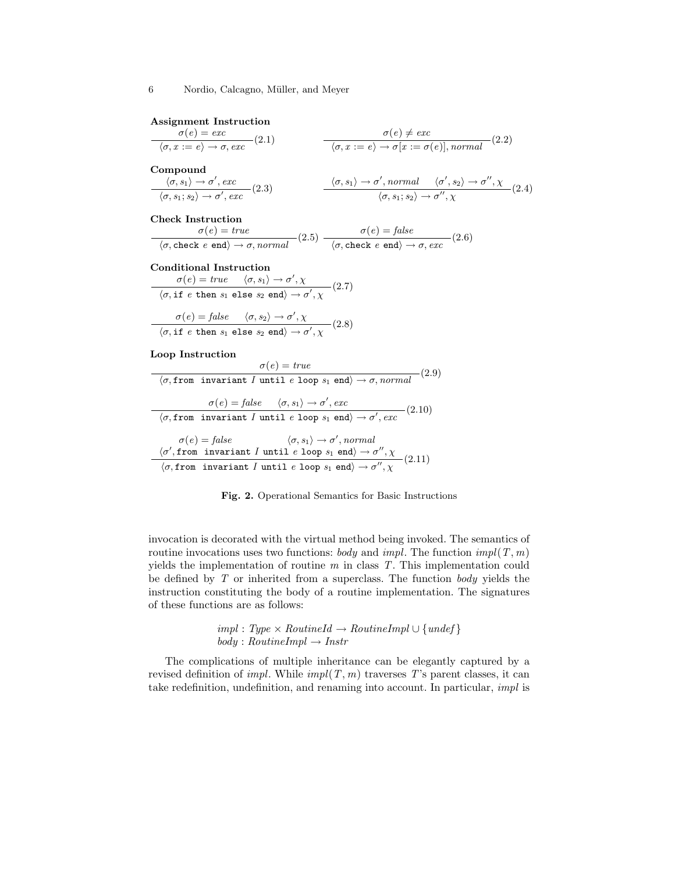### Assignment Instruction

 $\sigma(e) = exc$  $\langle \sigma, x := e \rangle \rightarrow \sigma$ , exc (2.1)  $\sigma(e) \neq exc$ <br>  $\langle \sigma, x := e \rangle \rightarrow \sigma[x := \sigma(e)], normal$  (2.2)

**Compound**  
\n
$$
\langle \sigma, s_1 \rangle \to \sigma', exc
$$
  
\n $\langle \sigma, s_1; s_2 \rangle \to \sigma', exc$   
\n $\langle \sigma, s_1; s_2 \rangle \to \sigma', exc$   
\n $\langle \sigma, s_1; s_2 \rangle \to \sigma'', \chi$   
\n $\langle \sigma, s_2; s_3 \rangle \to \sigma'', \chi$  (2.4)

Check Instruction  $\sigma(e) = true$  $\sigma(e) = true$ <br>  $\langle \sigma, \text{check } e \text{ end} \rangle \to \sigma, \text{normal}$  (2.5)  $\sigma(\sigma, \text{check } e \text{ end}) \to \sigma, \text{exc}$  (2.6)

### Conditional Instruction

$$
\sigma(e) = true \quad \langle \sigma, s_1 \rangle \to \sigma', \chi
$$
  

$$
\langle \sigma, \text{if } e \text{ then } s_1 \text{ else } s_2 \text{ end} \rangle \to \sigma', \chi
$$
  

$$
\sigma(e) = false \quad \langle \sigma, s_2 \rangle \to \sigma', \chi
$$
  

$$
\langle \sigma, \text{if } e \text{ then } s_1 \text{ else } s_2 \text{ end} \rangle \to \sigma', \chi
$$
  
(2.8)

#### Loop Instruction

| Loop Instruction                                                                                                                                                                                                                                                        |
|-------------------------------------------------------------------------------------------------------------------------------------------------------------------------------------------------------------------------------------------------------------------------|
| $\sigma(e) = true$                                                                                                                                                                                                                                                      |
| $\langle \sigma,$ from invariant <i>I</i> until <i>e</i> loop $s_1$ end $\rangle \rightarrow \sigma,$ normal (2.9)                                                                                                                                                      |
|                                                                                                                                                                                                                                                                         |
| $\sigma(e) = false \quad \langle \sigma, s_1 \rangle \rightarrow \sigma', exc$                                                                                                                                                                                          |
| $\langle \sigma, \text{from invariant } I \text{ until } e \text{ loop } s_1 \text{ end} \rangle \rightarrow \sigma', \text{exc} \tag{2.10}$                                                                                                                            |
|                                                                                                                                                                                                                                                                         |
| $\sigma(e) = false$ $\langle \sigma, s_1 \rangle \rightarrow \sigma', normal$                                                                                                                                                                                           |
| $\frac{\langle \sigma', \text{from invariant } I \text{ until } e \text{ loop } s_1 \text{ end} \rangle \rightarrow \sigma'', \chi}{\langle \sigma, \text{from invariant } I \text{ until } e \text{ loop } s_1 \text{ end} \rangle \rightarrow \sigma'', \chi} (2.11)$ |
|                                                                                                                                                                                                                                                                         |
|                                                                                                                                                                                                                                                                         |



invocation is decorated with the virtual method being invoked. The semantics of routine invocations uses two functions: body and impl. The function  $impl(T, m)$ yields the implementation of routine  $m$  in class  $T$ . This implementation could be defined by T or inherited from a superclass. The function body yields the instruction constituting the body of a routine implementation. The signatures of these functions are as follows:

> $impl$ : Type  $\times$  RoutineId  $\rightarrow$  RoutineImpl  $\cup$  {undef}  $body: RoutineImpl \rightarrow Instr$

The complications of multiple inheritance can be elegantly captured by a revised definition of *impl.* While  $impl(T, m)$  traverses T's parent classes, it can take redefinition, undefinition, and renaming into account. In particular, impl is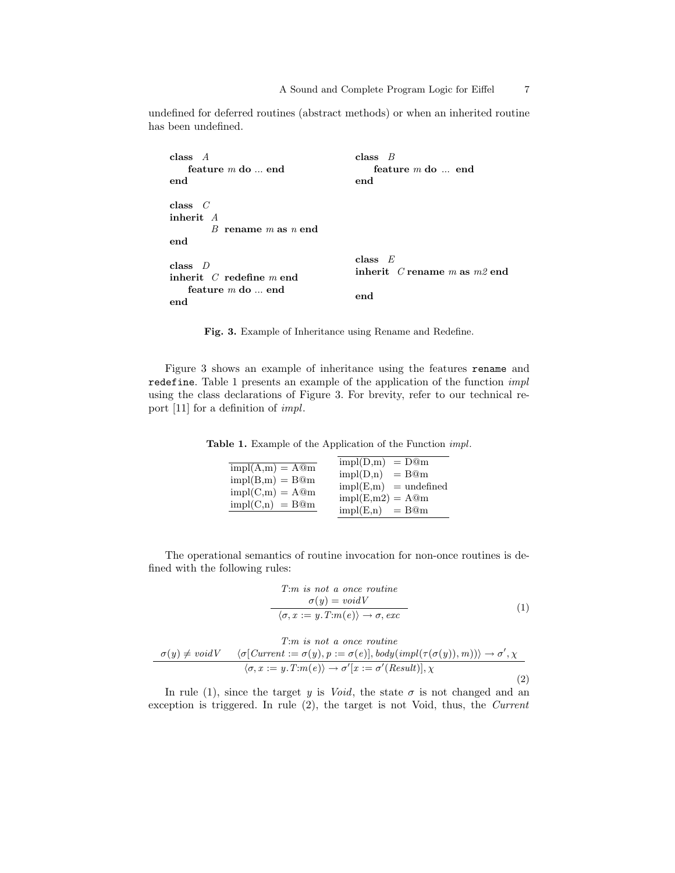undefined for deferred routines (abstract methods) or when an inherited routine has been undefined.

| class $A$                          | class $B$                                   |
|------------------------------------|---------------------------------------------|
| feature $m$ do $\ldots$ end        | feature $m$ do $\ldots$ end                 |
| end                                | end                                         |
| class $C$                          |                                             |
| inherit A                          |                                             |
| rename $m$ as $n$ end<br>B         |                                             |
| end                                |                                             |
| class $D$                          | class $E$<br>inherit C rename m as $m2$ end |
| inherit $C$ redefine m end         |                                             |
| feature $m$ do $\ldots$ end<br>end | end                                         |

Fig. 3. Example of Inheritance using Rename and Redefine.

Figure 3 shows an example of inheritance using the features rename and redefine. Table 1 presents an example of the application of the function  $impl$ using the class declarations of Figure 3. For brevity, refer to our technical report [11] for a definition of impl.

Table 1. Example of the Application of the Function impl.

| $impl(A,m) = \overline{A@m}$ | impl(D,m)<br>$=$ D@m    |
|------------------------------|-------------------------|
|                              | impl(D,n)<br>$=$ B $@m$ |
| $impl(B,m) = B@m$            | $impl(E,m) = undefined$ |
| $impl(C,m) = A@m$            | $impl(E,m2) = A@m$      |
| $impl(C,n) = B@m$            |                         |
|                              | $impl(E,n) = B@m$       |

The operational semantics of routine invocation for non-once routines is defined with the following rules:

T:m is not a once routine  
\n
$$
\sigma(y) = \text{void } V
$$
\n
$$
\langle \sigma, x := y. T : m(e) \rangle \to \sigma, exc
$$
\n(1)

$$
T:m \text{ is not a once routine}
$$
  
\n
$$
\sigma(y) \neq \text{void } V \quad \langle \sigma[Current := \sigma(y), p := \sigma(e)], \text{body}(\text{impl}(\tau(\sigma(y)), m)) \rangle \to \sigma', \chi
$$
  
\n
$$
\langle \sigma, x := y. T:m(e) \rangle \to \sigma'[x := \sigma'(Result)], \chi
$$
  
\n(2)

In rule (1), since the target y is Void, the state  $\sigma$  is not changed and an exception is triggered. In rule (2), the target is not Void, thus, the Current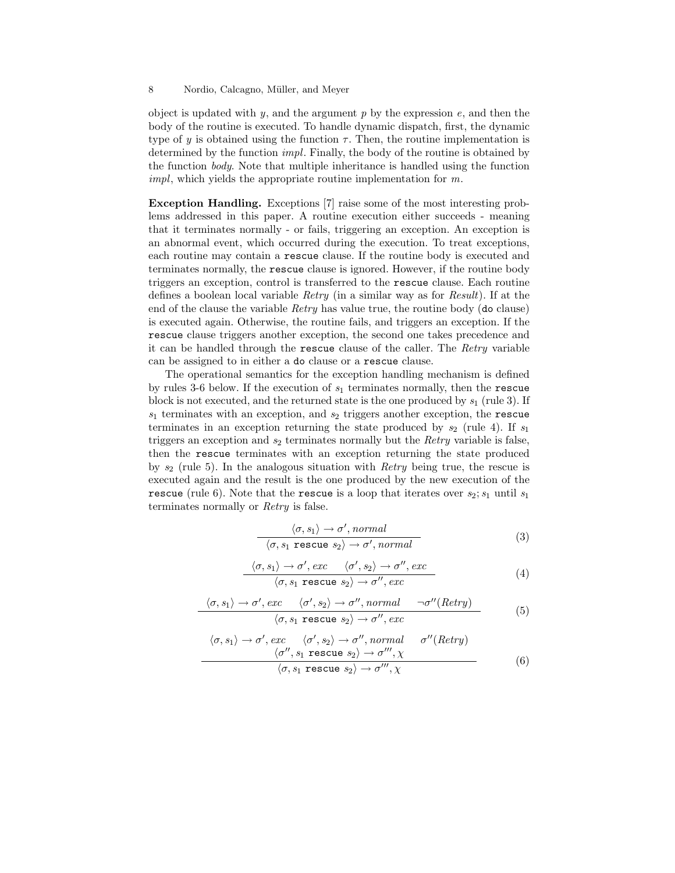object is updated with  $y$ , and the argument p by the expression  $e$ , and then the body of the routine is executed. To handle dynamic dispatch, first, the dynamic type of y is obtained using the function  $\tau$ . Then, the routine implementation is determined by the function impl. Finally, the body of the routine is obtained by the function body. Note that multiple inheritance is handled using the function impl, which yields the appropriate routine implementation for m.

Exception Handling. Exceptions [7] raise some of the most interesting problems addressed in this paper. A routine execution either succeeds - meaning that it terminates normally - or fails, triggering an exception. An exception is an abnormal event, which occurred during the execution. To treat exceptions, each routine may contain a rescue clause. If the routine body is executed and terminates normally, the rescue clause is ignored. However, if the routine body triggers an exception, control is transferred to the rescue clause. Each routine defines a boolean local variable Retry (in a similar way as for Result). If at the end of the clause the variable  $Retry$  has value true, the routine body (do clause) is executed again. Otherwise, the routine fails, and triggers an exception. If the rescue clause triggers another exception, the second one takes precedence and it can be handled through the rescue clause of the caller. The Retry variable can be assigned to in either a do clause or a rescue clause.

The operational semantics for the exception handling mechanism is defined by rules 3-6 below. If the execution of  $s_1$  terminates normally, then the rescue block is not executed, and the returned state is the one produced by  $s_1$  (rule 3). If  $s_1$  terminates with an exception, and  $s_2$  triggers another exception, the rescue terminates in an exception returning the state produced by  $s_2$  (rule 4). If  $s_1$ triggers an exception and  $s_2$  terminates normally but the *Retry* variable is false, then the rescue terminates with an exception returning the state produced by  $s_2$  (rule 5). In the analogous situation with Retry being true, the rescue is executed again and the result is the one produced by the new execution of the rescue (rule 6). Note that the rescue is a loop that iterates over  $s_2$ ;  $s_1$  until  $s_1$ terminates normally or Retry is false.

$$
\langle \sigma, s_1 \rangle \to \sigma', normal
$$
  

$$
\langle \sigma, s_1 \text{ rescue } s_2 \rangle \to \sigma', normal
$$
 (3)

$$
\frac{\langle \sigma, s_1 \rangle \to \sigma', \text{exc} \quad \langle \sigma', s_2 \rangle \to \sigma'', \text{exc}}{\langle \sigma, s_1 \text{ rescue } s_2 \rangle \to \sigma'', \text{exc}}
$$
\n(4)

$$
\langle \sigma, s_1 \rangle \to \sigma', \text{exc} \quad \langle \sigma', s_2 \rangle \to \sigma'', \text{normal} \quad \neg \sigma''(\text{Retry})
$$
  

$$
\langle \sigma, s_1 \text{ rescue } s_2 \rangle \to \sigma'', \text{exc}
$$
 (5)

$$
\langle \sigma, s_1 \rangle \to \sigma', \text{ exc} \quad \langle \sigma', s_2 \rangle \to \sigma'', \text{normal} \quad \sigma''(\text{Retry})
$$
  

$$
\langle \sigma'', s_1 \text{ rescue } s_2 \rangle \to \sigma''', \chi
$$
  

$$
\langle \sigma, s_1 \text{ rescue } s_2 \rangle \to \sigma''', \chi
$$
 (6)

<sup>8</sup> Nordio, Calcagno, Müller, and Meyer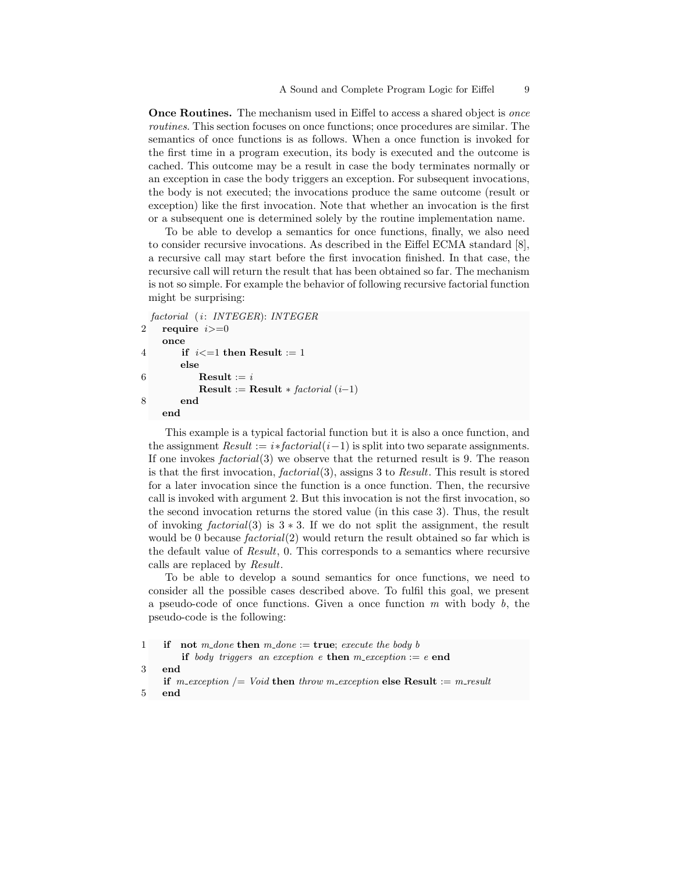Once Routines. The mechanism used in Eiffel to access a shared object is once routines. This section focuses on once functions; once procedures are similar. The semantics of once functions is as follows. When a once function is invoked for the first time in a program execution, its body is executed and the outcome is cached. This outcome may be a result in case the body terminates normally or an exception in case the body triggers an exception. For subsequent invocations, the body is not executed; the invocations produce the same outcome (result or exception) like the first invocation. Note that whether an invocation is the first or a subsequent one is determined solely by the routine implementation name.

To be able to develop a semantics for once functions, finally, we also need to consider recursive invocations. As described in the Eiffel ECMA standard [8], a recursive call may start before the first invocation finished. In that case, the recursive call will return the result that has been obtained so far. The mechanism is not so simple. For example the behavior of following recursive factorial function might be surprising:

```
factorial (i: INTEGER): INTEGER
2 require i>=0once
4 if i \leq 1 then Result := 1
      else
6 Result := iResult := Result * factorial (i-1)8 end
   end
```
This example is a typical factorial function but it is also a once function, and the assignment  $Result := i * factorial(i-1)$  is split into two separate assignments. If one invokes  $factorial(3)$  we observe that the returned result is 9. The reason is that the first invocation, factorial(3), assigns 3 to Result. This result is stored for a later invocation since the function is a once function. Then, the recursive call is invoked with argument 2. But this invocation is not the first invocation, so the second invocation returns the stored value (in this case 3). Thus, the result of invoking  $factorial(3)$  is  $3 * 3$ . If we do not split the assignment, the result would be 0 because *factorial*(2) would return the result obtained so far which is the default value of Result, 0. This corresponds to a semantics where recursive calls are replaced by Result.

To be able to develop a sound semantics for once functions, we need to consider all the possible cases described above. To fulfil this goal, we present a pseudo-code of once functions. Given a once function  $m$  with body  $b$ , the pseudo-code is the following:

```
1 if not m_done then m_done := true; execute the body b
        if body triggers an exception e then m-exception := e end
3 end
    if m-exception /= Void then throw m-exception else Result := m-result
5 end
```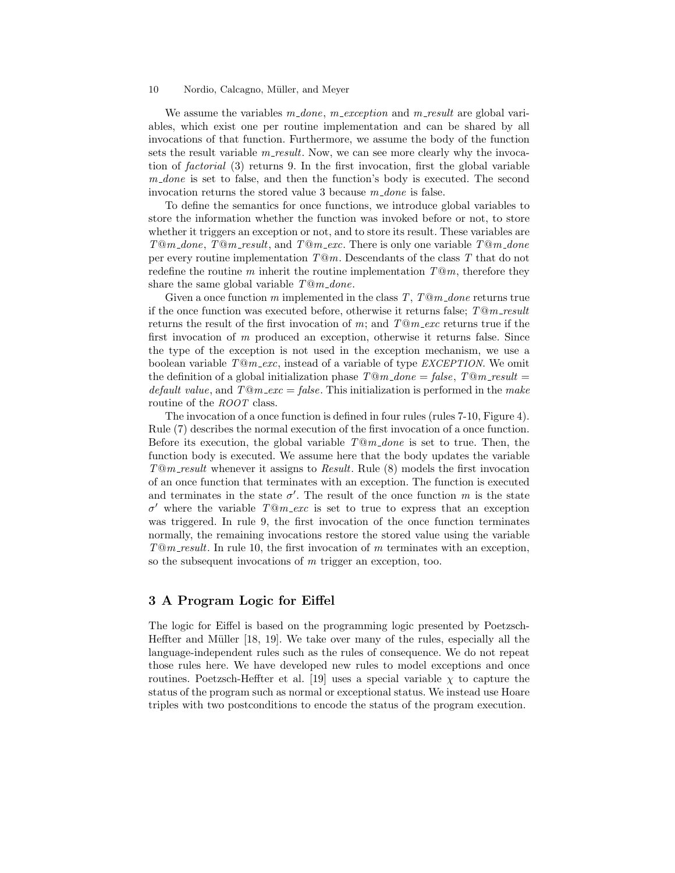We assume the variables  $m\_done$ ,  $m\_exception$  and  $m\_result$  are global variables, which exist one per routine implementation and can be shared by all invocations of that function. Furthermore, we assume the body of the function sets the result variable  $m$ -result. Now, we can see more clearly why the invocation of factorial (3) returns 9. In the first invocation, first the global variable  $m<sub>-</sub>done$  is set to false, and then the function's body is executed. The second invocation returns the stored value 3 because  $m\_done$  is false.

To define the semantics for once functions, we introduce global variables to store the information whether the function was invoked before or not, to store whether it triggers an exception or not, and to store its result. These variables are  $T@m<sub>-</sub>done, T@m<sub>-</sub>result, and T@m<sub>-</sub>exc. There is only one variable T@m<sub>-</sub>done$ per every routine implementation  $T@m$ . Descendants of the class T that do not redefine the routine m inherit the routine implementation  $T@m$ , therefore they share the same global variable  $T@m<sub>-</sub>done$ .

Given a once function m implemented in the class  $T$ ,  $T@m<sub>-</sub>done$  returns true if the once function was executed before, otherwise it returns false:  $T@m$ -result returns the result of the first invocation of m; and  $T@m\_exc$  returns true if the first invocation of m produced an exception, otherwise it returns false. Since the type of the exception is not used in the exception mechanism, we use a boolean variable  $T@m\_exc$ , instead of a variable of type *EXCEPTION*. We omit the definition of a global initialization phase  $T@m\_done = false$ ,  $T@m\_result =$ default value, and  $T@m\_exc = false$ . This initialization is performed in the make routine of the *ROOT* class.

The invocation of a once function is defined in four rules (rules 7-10, Figure 4). Rule (7) describes the normal execution of the first invocation of a once function. Before its execution, the global variable  $T@m<sub>-</sub>done$  is set to true. Then, the function body is executed. We assume here that the body updates the variable  $T@m\_result$  whenever it assigns to Result. Rule  $(8)$  models the first invocation of an once function that terminates with an exception. The function is executed and terminates in the state  $\sigma'$ . The result of the once function m is the state  $\sigma'$  where the variable  $T@m\_exc$  is set to true to express that an exception was triggered. In rule 9, the first invocation of the once function terminates normally, the remaining invocations restore the stored value using the variable  $T@m\_result$ . In rule 10, the first invocation of m terminates with an exception, so the subsequent invocations of m trigger an exception, too.

## 3 A Program Logic for Eiffel

The logic for Eiffel is based on the programming logic presented by Poetzsch-Heffter and Müller  $[18, 19]$ . We take over many of the rules, especially all the language-independent rules such as the rules of consequence. We do not repeat those rules here. We have developed new rules to model exceptions and once routines. Poetzsch-Heffter et al. [19] uses a special variable  $\chi$  to capture the status of the program such as normal or exceptional status. We instead use Hoare triples with two postconditions to encode the status of the program execution.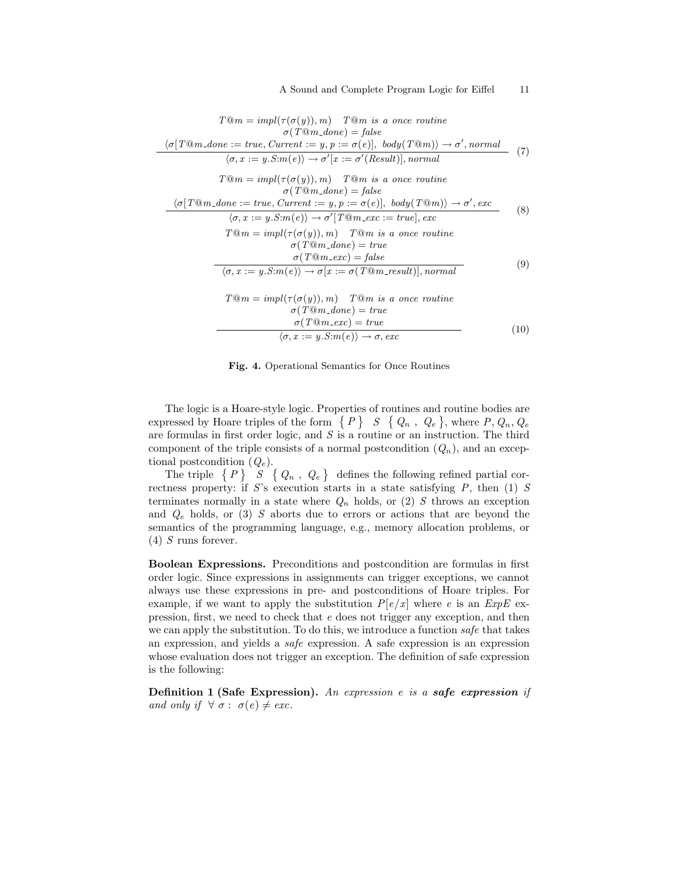$$
T@m = impl(\tau(\sigma(y)), m) \quad T@m \text{ is a once routine}
$$

$$
\sigma(T@m\text{...done}) = false
$$

$$
\langle \sigma[T@m\text{...done} := true, Current := y, p := \sigma(e)], \text{ body}(T@m) \rangle \rightarrow \sigma', normal
$$

$$
\langle \sigma, x := y \cdot S : m(e) \rangle \rightarrow \sigma'[x := \sigma'(Result)], normal
$$

$$
T@m = impl(\tau(\sigma(y)), m) \quad T@m \text{ is a once routine}
$$

$$
\sigma(T@m\text{...done}) = false
$$

$$
\langle \sigma[T@m\text{...done} := true, Current := y, p := \sigma(e)], \text{body}(T@m) \rangle \rightarrow \sigma', exc
$$

$$
\langle \sigma, x := y \cdot S : m(e) \rangle \rightarrow \sigma'[T@m\text{...exc} := true], exc
$$

$$
T@m = impl(\tau(\sigma(y)), m) \quad T@m \text{ is a once routine}
$$

$$
\sigma(T@m\text{...done}) = true
$$

$$
\sigma(T@m\text{...ace}) = false
$$

$$
\langle \sigma, x := y \cdot S : m(e) \rangle \rightarrow \sigma[x := \sigma(T@m\text{...result})], normal
$$

$$
T@m = impl(\tau(\sigma(y)), m) \quad T@m \text{ is a once routine}
$$

$$
\sigma(T@m\text{...done}) = true
$$

$$
\sigma(T@m\text{...done}) = true
$$

$$
\sigma(T@m\text{...ace}) = true
$$

$$
\sigma(T@m\text{...exc}) = true
$$

$$
\langle \sigma, x := y \cdot S : m(e) \rangle \rightarrow \sigma, exc
$$

$$
(10)
$$

Fig. 4. Operational Semantics for Once Routines

The logic is a Hoare-style logic. Properties of routines and routine bodies are expressed by Hoare triples of the form  $\{P\}$   $S$   $\{Q_n, Q_e\}$ , where  $P, Q_n, Q_e$ are formulas in first order logic, and  $S$  is a routine or an instruction. The third component of the triple consists of a normal postcondition  $(Q_n)$ , and an exceptional postcondition  $(Q_e)$ .

The triple  $\{P\}$  S  $\{Q_n, Q_e\}$  defines the following refined partial correctness property: if  $S$ 's execution starts in a state satisfying  $P$ , then (1)  $S$ terminates normally in a state where  $Q_n$  holds, or (2) S throws an exception and  $Q_e$  holds, or (3) S aborts due to errors or actions that are beyond the semantics of the programming language, e.g., memory allocation problems, or  $(4)$  S runs forever.

Boolean Expressions. Preconditions and postcondition are formulas in first order logic. Since expressions in assignments can trigger exceptions, we cannot always use these expressions in pre- and postconditions of Hoare triples. For example, if we want to apply the substitution  $P[e/x]$  where e is an  $ExpE$  expression, first, we need to check that e does not trigger any exception, and then we can apply the substitution. To do this, we introduce a function safe that takes an expression, and yields a safe expression. A safe expression is an expression whose evaluation does not trigger an exception. The definition of safe expression is the following:

Definition 1 (Safe Expression). An expression  $e$  is a safe expression if and only if  $\forall \sigma : \sigma(e) \neq exc$ .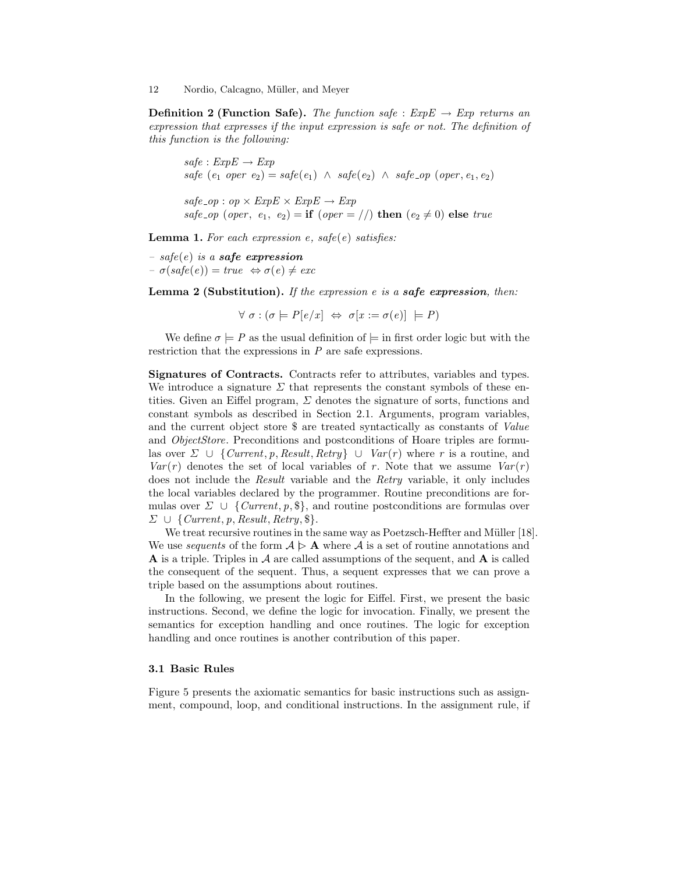**Definition 2 (Function Safe).** The function safe :  $ExpE \rightarrow Exp$  returns an expression that expresses if the input expression is safe or not. The definition of this function is the following:

 $safe: ExpE \rightarrow Exp$ safe  $(e_1 \text{ over } e_2) = \text{safe}(e_1) \land \text{safe}(e_2) \land \text{safe\_op}(\text{oper}, e_1, e_2)$  $\mathit{safe\_op}$ :  $\mathit{op} \times \mathit{ExpE} \times \mathit{ExpE} \rightarrow \mathit{Exp}$ safe\_op (oper, e<sub>1</sub>, e<sub>2</sub>) = if (oper = //) then (e<sub>2</sub>  $\neq$  0) else true

**Lemma 1.** For each expression e, safe(e) satisfies:

 $- safe(e)$  is a safe expression  $- \sigma(safe(e)) = true \Leftrightarrow \sigma(e) \neq exc$ 

Lemma 2 (Substitution). If the expression  $e$  is a safe expression, then:

 $\forall \sigma : (\sigma \models P[e/x] \Leftrightarrow \sigma[x := \sigma(e)] \models P)$ 

We define  $\sigma \models P$  as the usual definition of  $\models$  in first order logic but with the restriction that the expressions in  $P$  are safe expressions.

Signatures of Contracts. Contracts refer to attributes, variables and types. We introduce a signature  $\Sigma$  that represents the constant symbols of these entities. Given an Eiffel program,  $\Sigma$  denotes the signature of sorts, functions and constant symbols as described in Section 2.1. Arguments, program variables, and the current object store \$ are treated syntactically as constants of Value and *ObjectStore*. Preconditions and postconditions of Hoare triples are formulas over  $\Sigma \cup \{Current, p, Result, Retry\} \cup Var(r)$  where r is a routine, and  $Var(r)$  denotes the set of local variables of r. Note that we assume  $Var(r)$ does not include the Result variable and the Retry variable, it only includes the local variables declared by the programmer. Routine preconditions are formulas over  $\Sigma \cup \{Current, p, \$\}$ , and routine postconditions are formulas over  $\Sigma \cup \{Current, p, Result, Retry, \$\}.$ 

We treat recursive routines in the same way as Poetzsch-Heffter and Müller [18]. We use *sequents* of the form  $A \triangleright A$  where A is a set of routine annotations and  $\bf{A}$  is a triple. Triples in  $\cal{A}$  are called assumptions of the sequent, and  $\bf{A}$  is called the consequent of the sequent. Thus, a sequent expresses that we can prove a triple based on the assumptions about routines.

In the following, we present the logic for Eiffel. First, we present the basic instructions. Second, we define the logic for invocation. Finally, we present the semantics for exception handling and once routines. The logic for exception handling and once routines is another contribution of this paper.

#### 3.1 Basic Rules

Figure 5 presents the axiomatic semantics for basic instructions such as assignment, compound, loop, and conditional instructions. In the assignment rule, if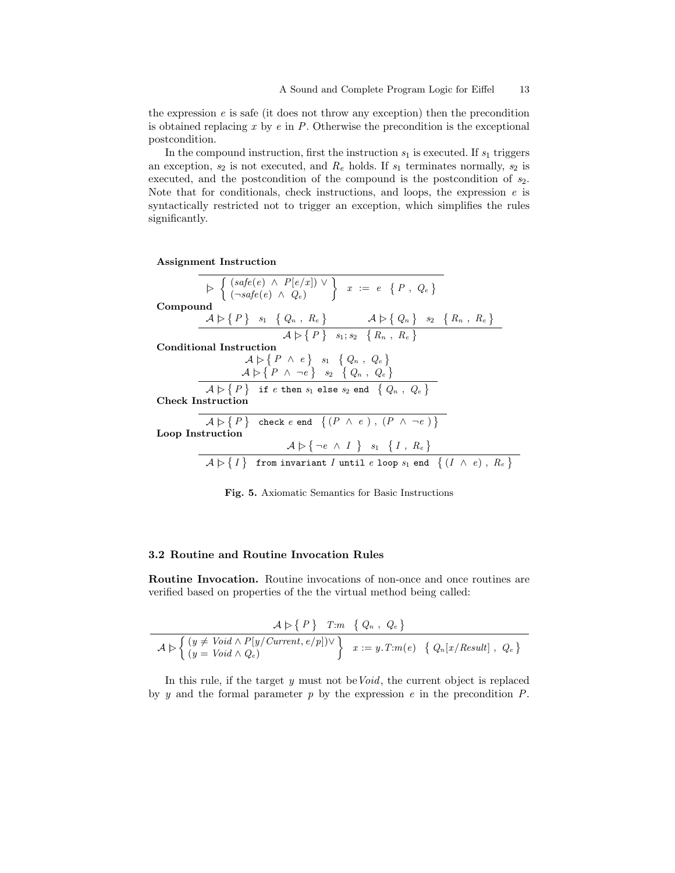the expression  $e$  is safe (it does not throw any exception) then the precondition is obtained replacing  $x$  by  $e$  in  $P$ . Otherwise the precondition is the exceptional postcondition.

In the compound instruction, first the instruction  $s_1$  is executed. If  $s_1$  triggers an exception,  $s_2$  is not executed, and  $R_e$  holds. If  $s_1$  terminates normally,  $s_2$  is executed, and the postcondition of the compound is the postcondition of  $s_2$ . Note that for conditionals, check instructions, and loops, the expression  $e$  is syntactically restricted not to trigger an exception, which simplifies the rules significantly.

Assignment Instruction

| $\triangleright \left\{ \begin{array}{l} (safe(e) \wedge P[e/x]) \vee \\ (\neg safe(e) \wedge Q_e) \end{array} \right\} x := e \left\{ P, Q_e \right\}$ |
|---------------------------------------------------------------------------------------------------------------------------------------------------------|
| Compound                                                                                                                                                |
| $A \triangleright \{P\}$ $s_1$ $\{Q_n, R_e\}$ $A \triangleright \{Q_n\}$ $s_2$ $\{R_n, R_e\}$                                                           |
| $\mathcal{A} \triangleright \{P\}$ $s_1; s_2 \{R_n, R_e\}$                                                                                              |
| <b>Conditional Instruction</b>                                                                                                                          |
| $\mathcal{A} \triangleright \{ P \wedge e \}$ $s_1 \{ Q_n, Q_e \}$                                                                                      |
| $\mathcal{A} \triangleright \{ P \wedge \neg e \}$ $s_2 \{ Q_n, Q_e \}$                                                                                 |
| $A \triangleright \{P\}$ if e then $s_1$ else $s_2$ end $\{Q_n, Q_e\}$                                                                                  |
| <b>Check Instruction</b>                                                                                                                                |
| $A \triangleright \{P\}$ check e end $\{(P \wedge e), (P \wedge \neg e)\}\$                                                                             |
| Loop Instruction                                                                                                                                        |
| $A \triangleright \{\neg e \land I\}$ $s_1$ $\{I, R_e\}$                                                                                                |
| $\mathcal{A} \triangleright \{I\}$ from invariant I until e loop $s_1$ end $\{(I \wedge e), R_e\}$                                                      |
|                                                                                                                                                         |

Fig. 5. Axiomatic Semantics for Basic Instructions

#### 3.2 Routine and Routine Invocation Rules

 $\overline{a}$ 

Routine Invocation. Routine invocations of non-once and once routines are verified based on properties of the the virtual method being called:

$$
\mathcal{A} \triangleright \{ P \} \quad T:m \quad \{ Q_n \ , \ Q_e \} \n\mathcal{A} \triangleright \left\{ \left( y \neq \text{void} \land P[y/\text{Current}, e/p] \right) \lor \right\} \quad x := y \, . \, T:m(e) \quad \{ Q_n[x/\text{Result}] \ , \ Q_e \}
$$

In this rule, if the target  $y$  must not be  $Void$ , the current object is replaced by y and the formal parameter p by the expression  $e$  in the precondition  $P$ .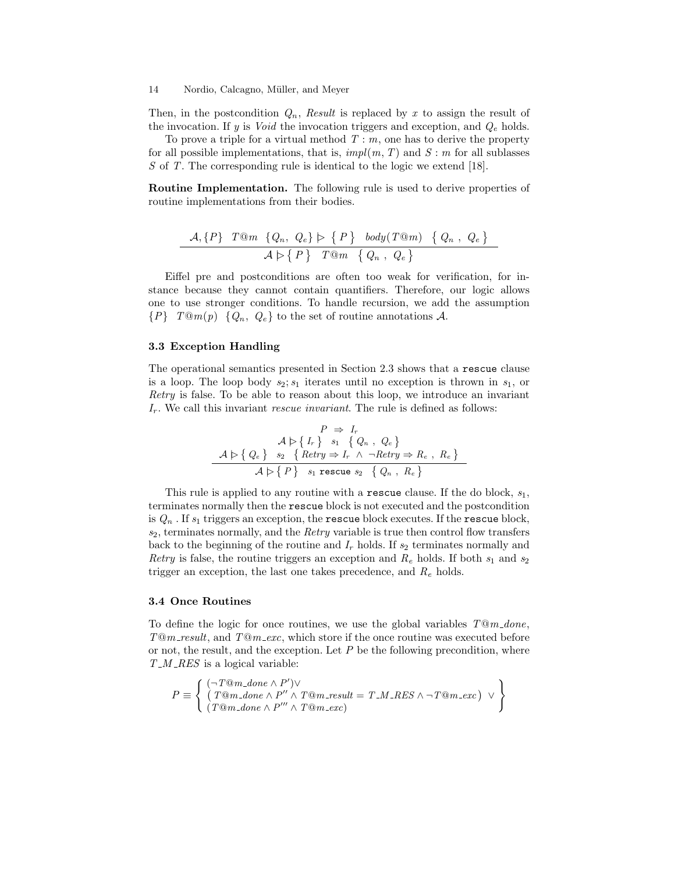Then, in the postcondition  $Q_n$ , Result is replaced by x to assign the result of the invocation. If y is *Void* the invocation triggers and exception, and  $Q_e$  holds.

To prove a triple for a virtual method  $T : m$ , one has to derive the property for all possible implementations, that is,  $impl(m, T)$  and  $S : m$  for all sublasses S of T. The corresponding rule is identical to the logic we extend [18].

Routine Implementation. The following rule is used to derive properties of routine implementations from their bodies.

$$
\frac{\mathcal{A}, \{P\} \quad T@m \quad \{Q_n, \ Q_e\} \models \{P\} \quad body(T@m) \quad \{Q_n, \ Q_e\}}{\mathcal{A} \models \{P\} \quad T@m \quad \{Q_n, \ Q_e\}}
$$

Eiffel pre and postconditions are often too weak for verification, for instance because they cannot contain quantifiers. Therefore, our logic allows one to use stronger conditions. To handle recursion, we add the assumption  $\{P\}$   $T@m(p)$   $\{Q_n, Q_e\}$  to the set of routine annotations A.

### 3.3 Exception Handling

The operational semantics presented in Section 2.3 shows that a rescue clause is a loop. The loop body  $s_2$ ;  $s_1$  iterates until no exception is thrown in  $s_1$ , or Retry is false. To be able to reason about this loop, we introduce an invariant  $I_r$ . We call this invariant *rescue invariant*. The rule is defined as follows:

$$
P \Rightarrow I_r
$$
  
\n
$$
A \triangleright \{I_r\} \quad s_1 \quad \{Q_n, Q_e\}
$$
  
\n
$$
A \triangleright \{Q_e\} \quad s_2 \quad \{Retry \Rightarrow I_r \land \neg Retry \Rightarrow R_e, R_e\}
$$
  
\n
$$
A \triangleright \{P\} \quad s_1 \text{ rescue } s_2 \quad \{Q_n, R_e\}
$$

This rule is applied to any routine with a rescue clause. If the do block,  $s_1$ , terminates normally then the rescue block is not executed and the postcondition is  $Q_n$ . If  $s_1$  triggers an exception, the rescue block executes. If the rescue block,  $s_2$ , terminates normally, and the  $Retry$  variable is true then control flow transfers back to the beginning of the routine and  $I_r$  holds. If  $s_2$  terminates normally and Retry is false, the routine triggers an exception and  $R_e$  holds. If both  $s_1$  and  $s_2$ trigger an exception, the last one takes precedence, and  $R_e$  holds.

### 3.4 Once Routines

To define the logic for once routines, we use the global variables  $T@m<sub>-</sub>done$ ,  $T@m\_result$ , and  $T@m\_exc$ , which store if the once routine was executed before or not, the result, and the exception. Let  $P$  be the following precondition, where  $T\_M\_RES$  is a logical variable:

$$
P \equiv \left\{ \begin{array}{l} (\neg T@m\_\_\_\_\_\_\_P)' \vee \\ (T@m\_\_\_\_\_\_\_P' \wedge T@m\_\_\_\_\_\_\_\_I' = T\_\_\_\_\_\_\_\_\_I' \vee \vee \\ (T@m\_\_\_\_\_\_P' \wedge T@m\_\_\_\_\_\_\_I') \end{array} \right\}
$$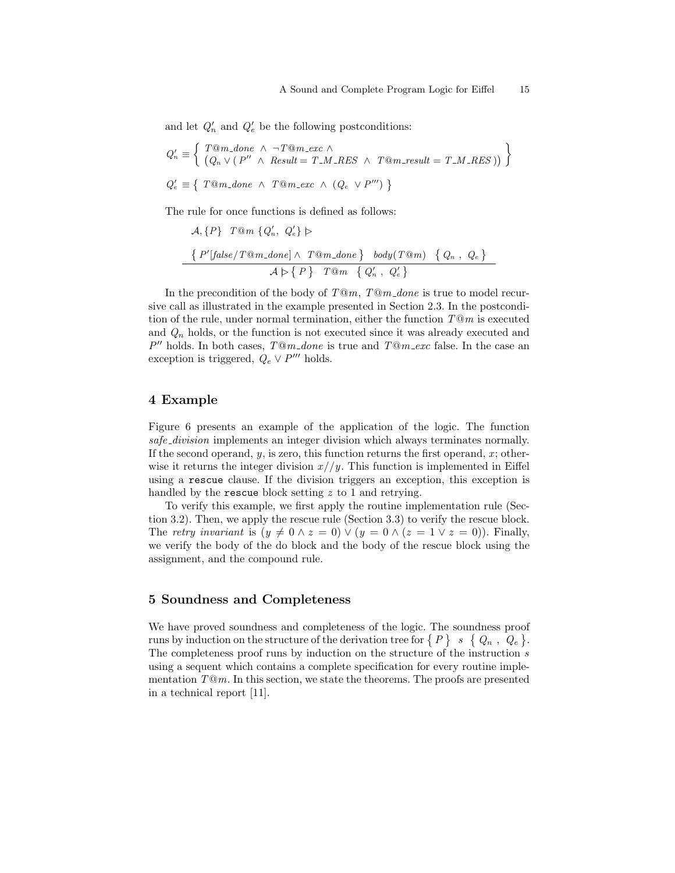and let  $Q'_n$  and  $Q'_e$  be the following postconditions:

$$
Q'_{n} \equiv \left\{ \begin{array}{l} T@m\text{.done} \land \neg T@m\text{.exc} \land \\ (Q_{n} \lor (P'' \land Result = T\text{.}M\text{.RES} \land T@m\text{.result} = T\text{.}M\text{.RES}) ) \end{array} \right\}
$$
  

$$
Q'_{e} \equiv \left\{ T@m\text{.done} \land T@m\text{.exc} \land (Q_{e} \lor P''') \right\}
$$

The rule for once functions is defined as follows:

$$
\mathcal{A}, \{P\} \quad T@m \quad \{Q'_n, Q'_e\} \succ
$$
\n
$$
\frac{\{P'[false/T@m\_done] \land T@m\_done\} \quad body(T@m) \quad \{Q_n, Q_e\}}{\mathcal{A} \rhd \{P\} \quad T@m \quad \{Q'_n, Q'_e\}}
$$

In the precondition of the body of  $T@m$ ,  $T@m\_done$  is true to model recursive call as illustrated in the example presented in Section 2.3. In the postcondition of the rule, under normal termination, either the function  $T@m$  is executed and  $Q_n$  holds, or the function is not executed since it was already executed and  $P''$  holds. In both cases,  $T@m\_done$  is true and  $T@m\_exc$  false. In the case an exception is triggered,  $Q_e \vee P'''$  holds.

## 4 Example

Figure 6 presents an example of the application of the logic. The function safe division implements an integer division which always terminates normally. If the second operand, y, is zero, this function returns the first operand, x; otherwise it returns the integer division  $x//y$ . This function is implemented in Eiffel using a rescue clause. If the division triggers an exception, this exception is handled by the rescue block setting z to 1 and retrying.

To verify this example, we first apply the routine implementation rule (Section 3.2). Then, we apply the rescue rule (Section 3.3) to verify the rescue block. The retry invariant is  $(y \neq 0 \land z = 0) \lor (y = 0 \land (z = 1 \lor z = 0))$ . Finally, we verify the body of the do block and the body of the rescue block using the assignment, and the compound rule.

## 5 Soundness and Completeness

We have proved soundness and completeness of the logic. The soundness proof runs by induction on the structure of the derivation tree for  $\{P\}$  s  $\{Q_n, Q_e\}$ . The completeness proof runs by induction on the structure of the instruction s using a sequent which contains a complete specification for every routine implementation  $T@m$ . In this section, we state the theorems. The proofs are presented in a technical report [11].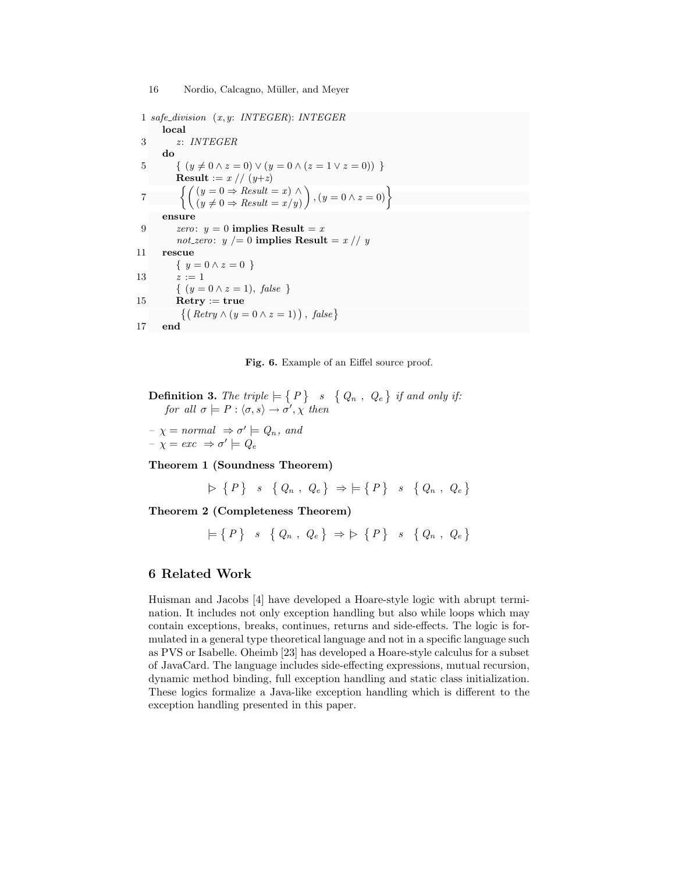1 safe division (x,y: INTEGER): INTEGER local 3 *z*: *INTEGER* do 5 {  $(y \neq 0 \land z = 0) \lor (y = 0 \land (z = 1 \lor z = 0))$  } **Result** :=  $x$  //  $(y+z)$ 7  $\int (y = 0 \Rightarrow Result = x) \wedge$  $(y \neq 0 \Rightarrow Result = x/y)$  $\bigg\}$ ,  $(y=0 \wedge z=0)\bigg\}$ ensure 9 *zero*:  $y = 0$  implies Result = x not zero:  $y \neq 0$  implies Result =  $x \neq y$ 11 rescue  ${ y = 0 \wedge z = 0 }$ 13  $z := 1$ {  $(y = 0 \land z = 1)$ , false } 15 Retry :=  $true$  $\{(Retry \land (y = 0 \land z = 1)), false\}$ 17 end

Fig. 6. Example of an Eiffel source proof.

**Definition 3.** The triple  $\models \{P\}$  s  $\{Q_n, Q_e\}$  if and only if: for all  $\sigma \models P : \langle \sigma, s \rangle \rightarrow \sigma', \chi$  then

 $-\chi = normal \Rightarrow \sigma' \models Q_n$ , and  $- \chi = exc \Rightarrow \sigma' \models Q_e$ 

Theorem 1 (Soundness Theorem)

 $\triangleright \{P\}$  s  $\{Q_n, Q_e\} \Rightarrow \models \{P\}$  s  $\{Q_n, Q_e\}$ 

Theorem 2 (Completeness Theorem)

$$
\models \{P\} \quad s \quad \{Q_n \ , \ Q_e\} \Rightarrow \models \{P\} \quad s \quad \{Q_n \ , \ Q_e\}
$$

### 6 Related Work

Huisman and Jacobs [4] have developed a Hoare-style logic with abrupt termination. It includes not only exception handling but also while loops which may contain exceptions, breaks, continues, returns and side-effects. The logic is formulated in a general type theoretical language and not in a specific language such as PVS or Isabelle. Oheimb [23] has developed a Hoare-style calculus for a subset of JavaCard. The language includes side-effecting expressions, mutual recursion, dynamic method binding, full exception handling and static class initialization. These logics formalize a Java-like exception handling which is different to the exception handling presented in this paper.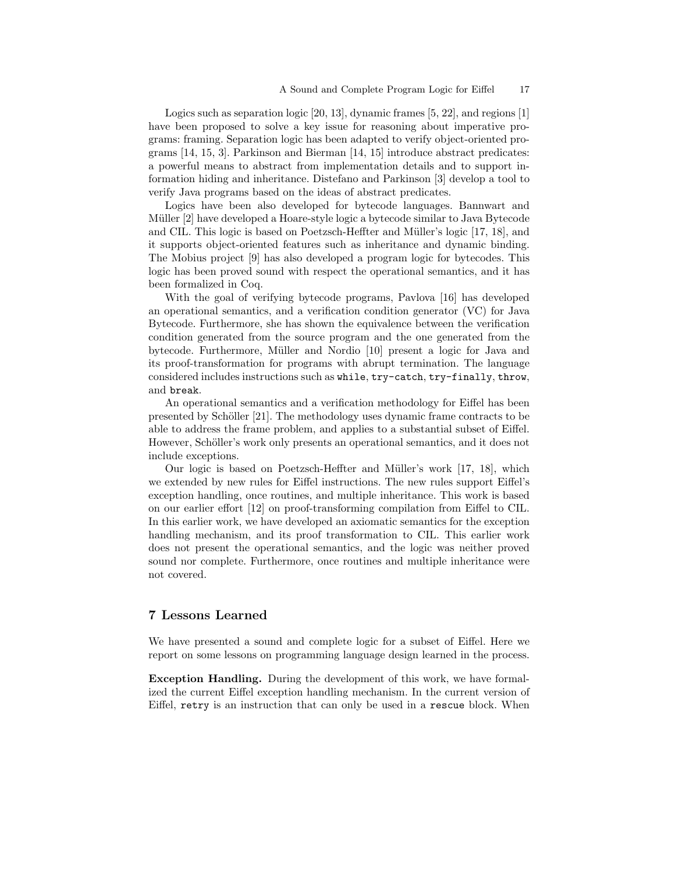Logics such as separation logic [20, 13], dynamic frames [5, 22], and regions [1] have been proposed to solve a key issue for reasoning about imperative programs: framing. Separation logic has been adapted to verify object-oriented programs [14, 15, 3]. Parkinson and Bierman [14, 15] introduce abstract predicates: a powerful means to abstract from implementation details and to support information hiding and inheritance. Distefano and Parkinson [3] develop a tool to verify Java programs based on the ideas of abstract predicates.

Logics have been also developed for bytecode languages. Bannwart and Müller [2] have developed a Hoare-style logic a bytecode similar to Java Bytecode and CIL. This logic is based on Poetzsch-Heffter and M¨uller's logic [17, 18], and it supports object-oriented features such as inheritance and dynamic binding. The Mobius project [9] has also developed a program logic for bytecodes. This logic has been proved sound with respect the operational semantics, and it has been formalized in Coq.

With the goal of verifying bytecode programs, Pavlova [16] has developed an operational semantics, and a verification condition generator (VC) for Java Bytecode. Furthermore, she has shown the equivalence between the verification condition generated from the source program and the one generated from the bytecode. Furthermore, Müller and Nordio [10] present a logic for Java and its proof-transformation for programs with abrupt termination. The language considered includes instructions such as while, try-catch, try-finally, throw, and break.

An operational semantics and a verification methodology for Eiffel has been presented by Schöller  $[21]$ . The methodology uses dynamic frame contracts to be able to address the frame problem, and applies to a substantial subset of Eiffel. However, Schöller's work only presents an operational semantics, and it does not include exceptions.

Our logic is based on Poetzsch-Heffter and Müller's work [17, 18], which we extended by new rules for Eiffel instructions. The new rules support Eiffel's exception handling, once routines, and multiple inheritance. This work is based on our earlier effort [12] on proof-transforming compilation from Eiffel to CIL. In this earlier work, we have developed an axiomatic semantics for the exception handling mechanism, and its proof transformation to CIL. This earlier work does not present the operational semantics, and the logic was neither proved sound nor complete. Furthermore, once routines and multiple inheritance were not covered.

## 7 Lessons Learned

We have presented a sound and complete logic for a subset of Eiffel. Here we report on some lessons on programming language design learned in the process.

Exception Handling. During the development of this work, we have formalized the current Eiffel exception handling mechanism. In the current version of Eiffel, retry is an instruction that can only be used in a rescue block. When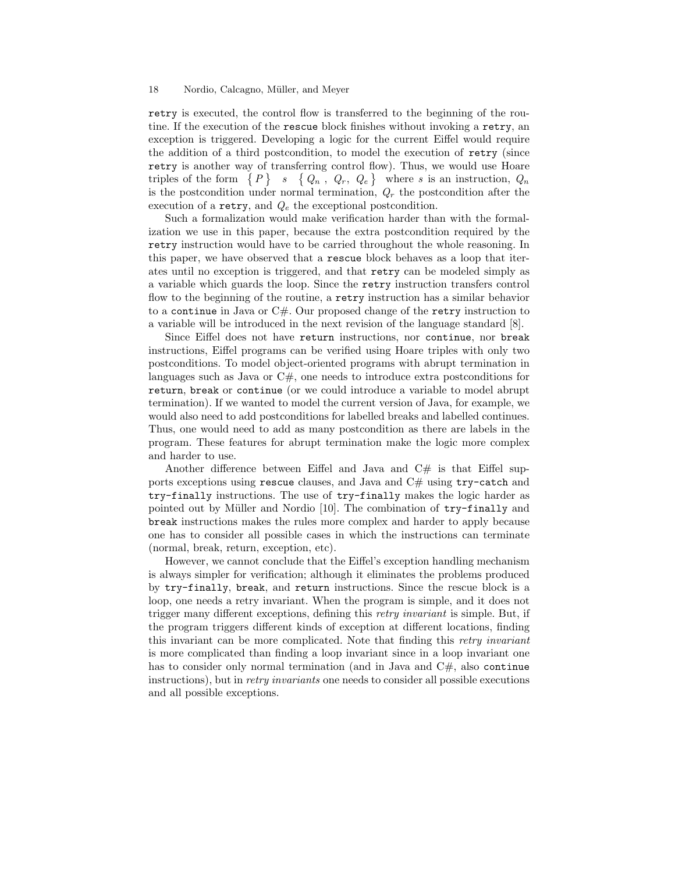retry is executed, the control flow is transferred to the beginning of the routine. If the execution of the rescue block finishes without invoking a retry, an exception is triggered. Developing a logic for the current Eiffel would require the addition of a third postcondition, to model the execution of retry (since retry is another way of transferring control flow). Thus, we would use Hoare triples of the form  $\{P\}$  s  $\{Q_n, Q_r, Q_e\}$  where s is an instruction,  $Q_n$ is the postcondition under normal termination,  $Q_r$  the postcondition after the execution of a retry, and  $Q_e$  the exceptional postcondition.

Such a formalization would make verification harder than with the formalization we use in this paper, because the extra postcondition required by the retry instruction would have to be carried throughout the whole reasoning. In this paper, we have observed that a rescue block behaves as a loop that iterates until no exception is triggered, and that retry can be modeled simply as a variable which guards the loop. Since the retry instruction transfers control flow to the beginning of the routine, a retry instruction has a similar behavior to a continue in Java or  $C\#$ . Our proposed change of the retry instruction to a variable will be introduced in the next revision of the language standard [8].

Since Eiffel does not have return instructions, nor continue, nor break instructions, Eiffel programs can be verified using Hoare triples with only two postconditions. To model object-oriented programs with abrupt termination in languages such as Java or  $C#$ , one needs to introduce extra postconditions for return, break or continue (or we could introduce a variable to model abrupt termination). If we wanted to model the current version of Java, for example, we would also need to add postconditions for labelled breaks and labelled continues. Thus, one would need to add as many postcondition as there are labels in the program. These features for abrupt termination make the logic more complex and harder to use.

Another difference between Eiffel and Java and  $C#$  is that Eiffel supports exceptions using rescue clauses, and Java and  $C#$  using try-catch and try-finally instructions. The use of try-finally makes the logic harder as pointed out by Müller and Nordio [10]. The combination of  $try-finally$  and break instructions makes the rules more complex and harder to apply because one has to consider all possible cases in which the instructions can terminate (normal, break, return, exception, etc).

However, we cannot conclude that the Eiffel's exception handling mechanism is always simpler for verification; although it eliminates the problems produced by try-finally, break, and return instructions. Since the rescue block is a loop, one needs a retry invariant. When the program is simple, and it does not trigger many different exceptions, defining this retry invariant is simple. But, if the program triggers different kinds of exception at different locations, finding this invariant can be more complicated. Note that finding this retry invariant is more complicated than finding a loop invariant since in a loop invariant one has to consider only normal termination (and in Java and  $C#$ , also continue instructions), but in retry invariants one needs to consider all possible executions and all possible exceptions.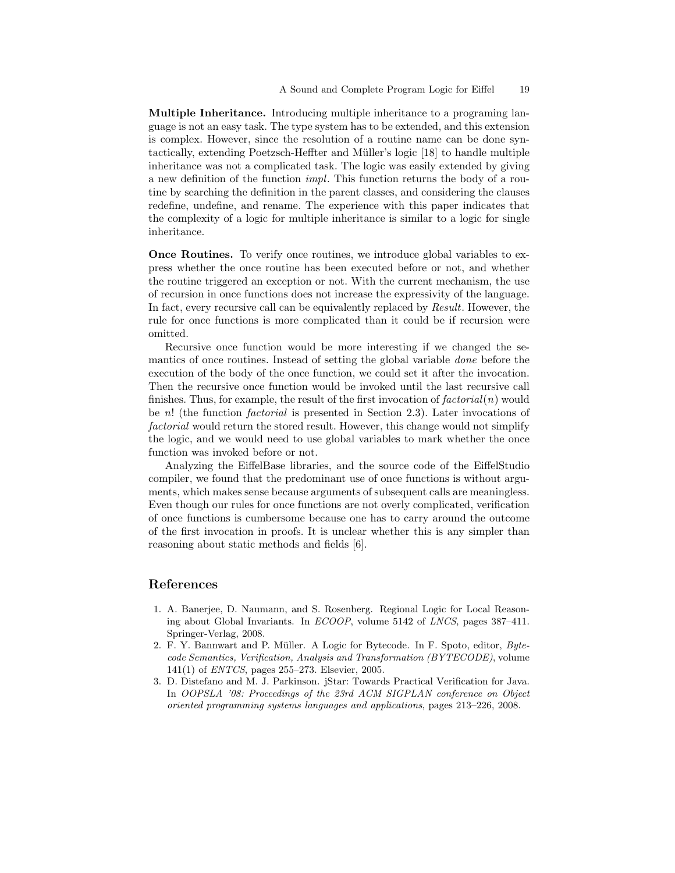Multiple Inheritance. Introducing multiple inheritance to a programing language is not an easy task. The type system has to be extended, and this extension is complex. However, since the resolution of a routine name can be done syntactically, extending Poetzsch-Heffter and M¨uller's logic [18] to handle multiple inheritance was not a complicated task. The logic was easily extended by giving a new definition of the function impl. This function returns the body of a routine by searching the definition in the parent classes, and considering the clauses redefine, undefine, and rename. The experience with this paper indicates that the complexity of a logic for multiple inheritance is similar to a logic for single inheritance.

Once Routines. To verify once routines, we introduce global variables to express whether the once routine has been executed before or not, and whether the routine triggered an exception or not. With the current mechanism, the use of recursion in once functions does not increase the expressivity of the language. In fact, every recursive call can be equivalently replaced by Result. However, the rule for once functions is more complicated than it could be if recursion were omitted.

Recursive once function would be more interesting if we changed the semantics of once routines. Instead of setting the global variable done before the execution of the body of the once function, we could set it after the invocation. Then the recursive once function would be invoked until the last recursive call finishes. Thus, for example, the result of the first invocation of  $factorial(n)$  would be n! (the function factorial is presented in Section 2.3). Later invocations of factorial would return the stored result. However, this change would not simplify the logic, and we would need to use global variables to mark whether the once function was invoked before or not.

Analyzing the EiffelBase libraries, and the source code of the EiffelStudio compiler, we found that the predominant use of once functions is without arguments, which makes sense because arguments of subsequent calls are meaningless. Even though our rules for once functions are not overly complicated, verification of once functions is cumbersome because one has to carry around the outcome of the first invocation in proofs. It is unclear whether this is any simpler than reasoning about static methods and fields [6].

## References

- 1. A. Banerjee, D. Naumann, and S. Rosenberg. Regional Logic for Local Reasoning about Global Invariants. In ECOOP, volume 5142 of LNCS, pages 387–411. Springer-Verlag, 2008.
- 2. F. Y. Bannwart and P. M¨uller. A Logic for Bytecode. In F. Spoto, editor, Bytecode Semantics, Verification, Analysis and Transformation (BYTECODE), volume 141(1) of ENTCS, pages 255–273. Elsevier, 2005.
- 3. D. Distefano and M. J. Parkinson. jStar: Towards Practical Verification for Java. In OOPSLA '08: Proceedings of the 23rd ACM SIGPLAN conference on Object oriented programming systems languages and applications, pages 213–226, 2008.